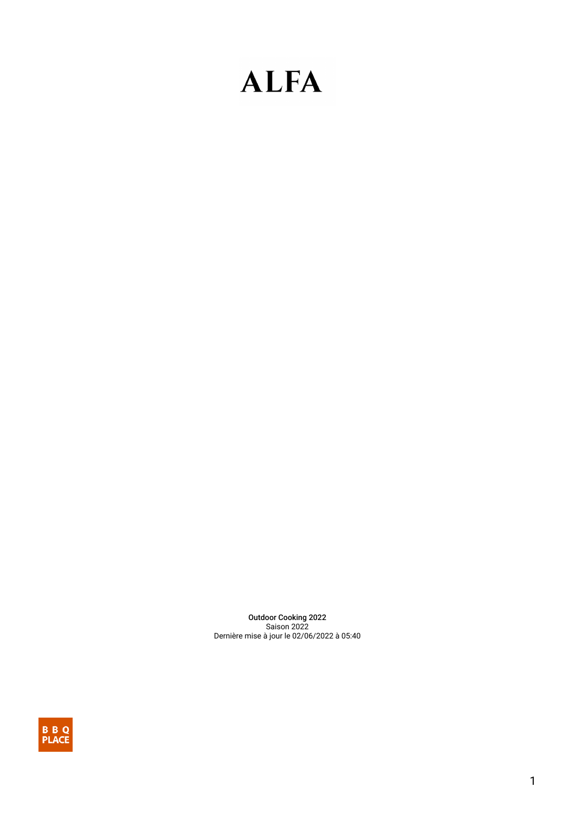Outdoor Cooking 2022 Saison 2022 Dernière mise à jour le 02/06/2022 à 05:40

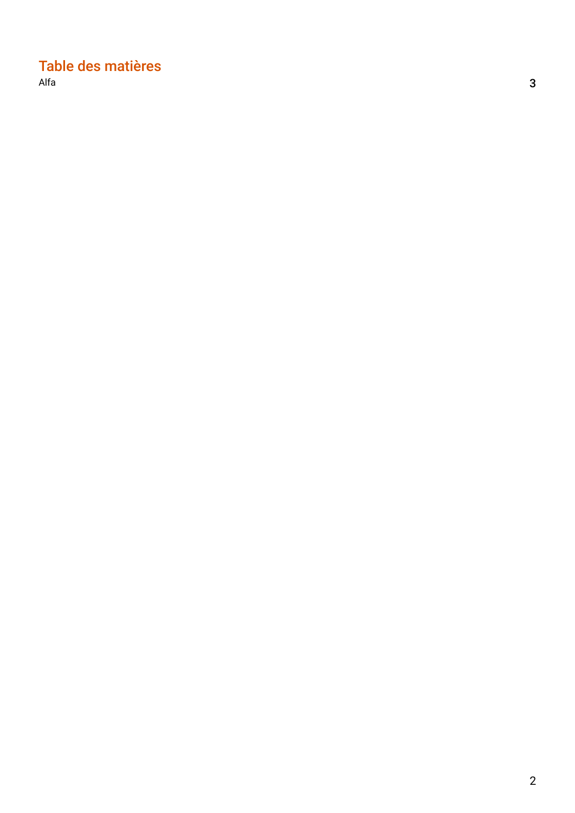# Table des matières

 $\blacksquare$ [Alfa](#page-2-0)  $\blacksquare$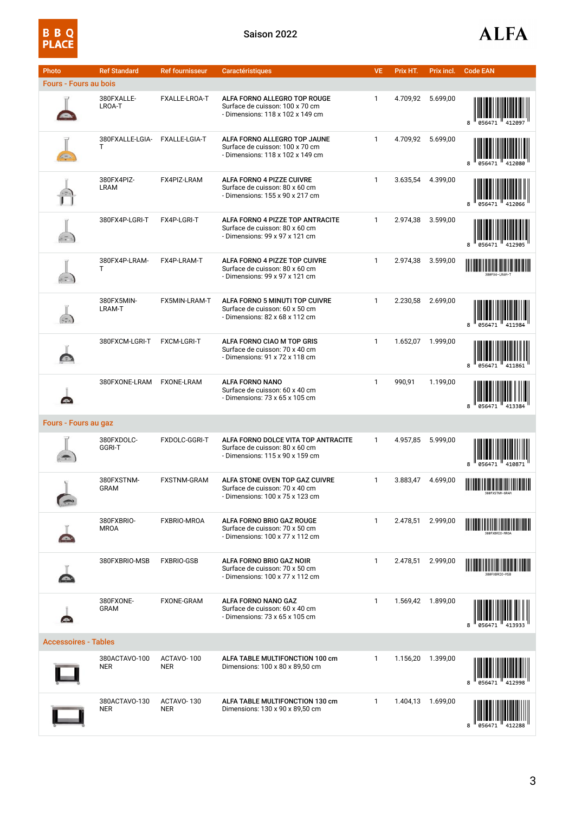

<span id="page-2-0"></span>

| Photo                        | <b>Ref Standard</b>         | <b>Ref fournisseur</b>   | <b>Caractéristiques</b>                                                                                  | <b>VE</b>    | Prix HT. | Prix incl. | <b>Code EAN</b> |
|------------------------------|-----------------------------|--------------------------|----------------------------------------------------------------------------------------------------------|--------------|----------|------------|-----------------|
| <b>Fours - Fours au bois</b> |                             |                          |                                                                                                          |              |          |            |                 |
|                              | 380FXALLE-<br>LROA-T        | FXALLE-LROA-T            | ALFA FORNO ALLEGRO TOP ROUGE<br>Surface de cuisson: 100 x 70 cm<br>- Dimensions: 118 x 102 x 149 cm      | 1            | 4.709,92 | 5.699,00   |                 |
|                              | 380FXALLE-LGIA-<br>Τ        | FXALLE-LGIA-T            | ALFA FORNO ALLEGRO TOP JAUNE<br>Surface de cuisson: 100 x 70 cm<br>- Dimensions: 118 x 102 x 149 cm      | $\mathbf{1}$ | 4.709,92 | 5.699,00   |                 |
|                              | 380FX4PIZ-<br><b>LRAM</b>   | FX4PIZ-LRAM              | ALFA FORNO 4 PIZZE CUIVRE<br>Surface de cuisson: 80 x 60 cm<br>- Dimensions: 155 x 90 x 217 cm           | 1            | 3.635,54 | 4.399,00   |                 |
|                              | 380FX4P-LGRI-T              | FX4P-LGRI-T              | ALFA FORNO 4 PIZZE TOP ANTRACITE<br>Surface de cuisson: 80 x 60 cm<br>- Dimensions: 99 x 97 x 121 cm     | $\mathbf{1}$ | 2.974,38 | 3.599,00   |                 |
|                              | 380FX4P-LRAM-<br>Τ          | FX4P-LRAM-T              | ALFA FORNO 4 PIZZE TOP CUIVRE<br>Surface de cuisson: 80 x 60 cm<br>- Dimensions: 99 x 97 x 121 cm        | 1            | 2.974,38 | 3.599,00   |                 |
| $\left(-\right)$             | 380FX5MIN-<br>LRAM-T        | FX5MIN-LRAM-T            | ALFA FORNO 5 MINUTI TOP CUIVRE<br>Surface de cuisson: 60 x 50 cm<br>- Dimensions: 82 x 68 x 112 cm       | $\mathbf{1}$ | 2.230,58 | 2.699,00   |                 |
|                              | 380FXCM-LGRI-T              | <b>FXCM-LGRI-T</b>       | ALFA FORNO CIAO M TOP GRIS<br>Surface de cuisson: 70 x 40 cm<br>- Dimensions: 91 x 72 x 118 cm           | $\mathbf{1}$ | 1.652,07 | 1.999,00   | 8               |
| Œ                            | 380FXONE-LRAM               | <b>FXONE-LRAM</b>        | ALFA FORNO NANO<br>Surface de cuisson: 60 x 40 cm<br>- Dimensions: 73 x 65 x 105 cm                      | $\mathbf{1}$ | 990,91   | 1.199,00   |                 |
| Fours - Fours au gaz         |                             |                          |                                                                                                          |              |          |            |                 |
|                              | 380FXDOLC-<br>GGRI-T        | FXDOLC-GGRI-T            | ALFA FORNO DOLCE VITA TOP ANTRACITE<br>Surface de cuisson: 80 x 60 cm<br>- Dimensions: 115 x 90 x 159 cm | $\mathbf{1}$ | 4.957,85 | 5.999,00   | 410871          |
|                              | 380FXSTNM-<br><b>GRAM</b>   | <b>FXSTNM-GRAM</b>       | ALFA STONE OVEN TOP GAZ CUIVRE<br>Surface de cuisson: 70 x 40 cm<br>- Dimensions: 100 x 75 x 123 cm      | 1            | 3.883,47 | 4.699,00   |                 |
|                              | 380FXBRIO-<br><b>MROA</b>   | FXBRIO-MROA              | ALFA FORNO BRIO GAZ ROUGE<br>Surface de cuisson: 70 x 50 cm<br>- Dimensions: 100 x 77 x 112 cm           | 1            | 2.478,51 | 2.999,00   |                 |
|                              | 380FXBRIO-MSB               | <b>FXBRIO-GSB</b>        | ALFA FORNO BRIO GAZ NOIR<br>Surface de cuisson: 70 x 50 cm<br>- Dimensions: 100 x 77 x 112 cm            | $\mathbf{1}$ | 2.478,51 | 2.999,00   |                 |
|                              | 380FXONE-<br><b>GRAM</b>    | <b>FXONE-GRAM</b>        | ALFA FORNO NANO GAZ<br>Surface de cuisson: 60 x 40 cm<br>- Dimensions: $73 \times 65 \times 105$ cm      | 1            | 1.569,42 | 1.899,00   |                 |
| <b>Accessoires - Tables</b>  |                             |                          |                                                                                                          |              |          |            |                 |
|                              | 380ACTAVO-100<br><b>NER</b> | ACTAVO-100<br>NER        | ALFA TABLE MULTIFONCTION 100 cm<br>Dimensions: 100 x 80 x 89,50 cm                                       | 1            | 1.156,20 | 1.399,00   |                 |
|                              | 380ACTAVO-130<br><b>NER</b> | ACTAVO-130<br><b>NER</b> | ALFA TABLE MULTIFONCTION 130 cm<br>Dimensions: 130 x 90 x 89,50 cm                                       | $\mathbf{1}$ | 1.404,13 | 1.699,00   |                 |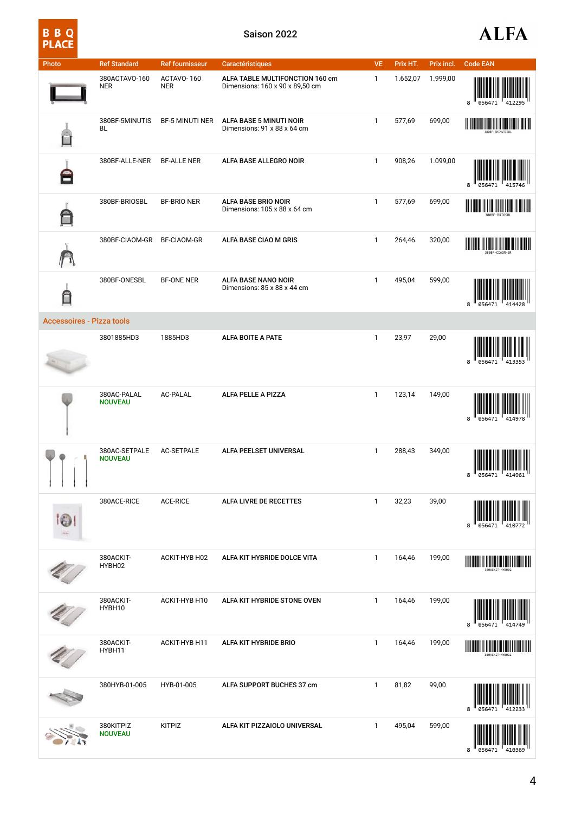| Photo                            | <b>Ref Standard</b>             | <b>Ref fournisseur</b>   | Caractéristiques                                                   | <b>VE</b>    | Prix HT. | Prix incl. | <b>Code EAN</b>                                                                                                       |
|----------------------------------|---------------------------------|--------------------------|--------------------------------------------------------------------|--------------|----------|------------|-----------------------------------------------------------------------------------------------------------------------|
|                                  | 380ACTAVO-160<br><b>NER</b>     | ACTAVO-160<br><b>NER</b> | ALFA TABLE MULTIFONCTION 160 cm<br>Dimensions: 160 x 90 x 89,50 cm | $\mathbf{1}$ | 1.652,07 | 1.999,00   | 8                                                                                                                     |
|                                  | 380BF-5MINUTIS<br>BL            | <b>BF-5 MINUTI NER</b>   | ALFA BASE 5 MINUTI NOIR<br>Dimensions: 91 x 88 x 64 cm             | $\mathbf{1}$ | 577,69   | 699,00     | <u> Harry Harry Harry Harry Harry Harry Harry Harry Harry Harry Harry Harry Harry Harry Harry Harry Harry Harry H</u> |
|                                  | 380BF-ALLE-NER                  | <b>BF-ALLE NER</b>       | ALFA BASE ALLEGRO NOIR                                             | $\mathbf{1}$ | 908,26   | 1.099,00   | 8<br>056471<br>415746                                                                                                 |
| A                                | 380BF-BRIOSBL                   | <b>BF-BRIO NER</b>       | ALFA BASE BRIO NOIR<br>Dimensions: 105 x 88 x 64 cm                | $\mathbf{1}$ | 577,69   | 699,00     | ∭                                                                                                                     |
|                                  | 380BF-CIAOM-GR                  | <b>BF-CIAOM-GR</b>       | ALFA BASE CIAO M GRIS                                              | $\mathbf{1}$ | 264,46   | 320,00     |                                                                                                                       |
| f                                | 380BF-ONESBL                    | <b>BF-ONE NER</b>        | ALFA BASE NANO NOIR<br>Dimensions: 85 x 88 x 44 cm                 | $\mathbf{1}$ | 495,04   | 599,00     | 8<br>056471                                                                                                           |
| <b>Accessoires - Pizza tools</b> |                                 |                          |                                                                    |              |          |            |                                                                                                                       |
|                                  | 3801885HD3                      | 1885HD3                  | ALFA BOITE A PATE                                                  | $\mathbf{1}$ | 23,97    | 29,00      | 056471<br>8<br>413353                                                                                                 |
|                                  | 380AC-PALAL<br><b>NOUVEAU</b>   | AC-PALAL                 | ALFA PELLE A PIZZA                                                 | $\mathbf{1}$ | 123,14   | 149,00     | 056471<br>8<br>414978                                                                                                 |
|                                  | 380AC-SETPALE<br><b>NOUVEAU</b> | <b>AC-SETPALE</b>        | ALFA PEELSET UNIVERSAL                                             | $\mathbf{1}$ | 288,43   | 349,00     | 8<br>056471                                                                                                           |
|                                  | 380ACE-RICE                     | <b>ACE-RICE</b>          | ALFA LIVRE DE RECETTES                                             | $\mathbf{1}$ | 32,23    | 39,00      |                                                                                                                       |
|                                  | 380ACKIT-<br>HYBH02             | ACKIT-HYB H02            | ALFA KIT HYBRIDE DOLCE VITA                                        | $\mathbf{1}$ | 164,46   | 199,00     | <u> III martin sama salah sahiji désa di ka</u>                                                                       |
|                                  | 380ACKIT-<br>HYBH10             | ACKIT-HYB H10            | ALFA KIT HYBRIDE STONE OVEN                                        | $\mathbf{1}$ | 164,46   | 199,00     |                                                                                                                       |
|                                  | 380ACKIT-<br>HYBH11             | ACKIT-HYB H11            | ALFA KIT HYBRIDE BRIO                                              | $\mathbf{1}$ | 164,46   | 199,00     | IIII                                                                                                                  |
|                                  | 380HYB-01-005                   | HYB-01-005               | ALFA SUPPORT BUCHES 37 cm                                          | $\mathbf{1}$ | 81,82    | 99,00      |                                                                                                                       |
|                                  | 380KITPIZ<br><b>NOUVEAU</b>     | <b>KITPIZ</b>            | ALFA KIT PIZZAIOLO UNIVERSAL                                       | $\mathbf{1}$ | 495,04   | 599,00     |                                                                                                                       |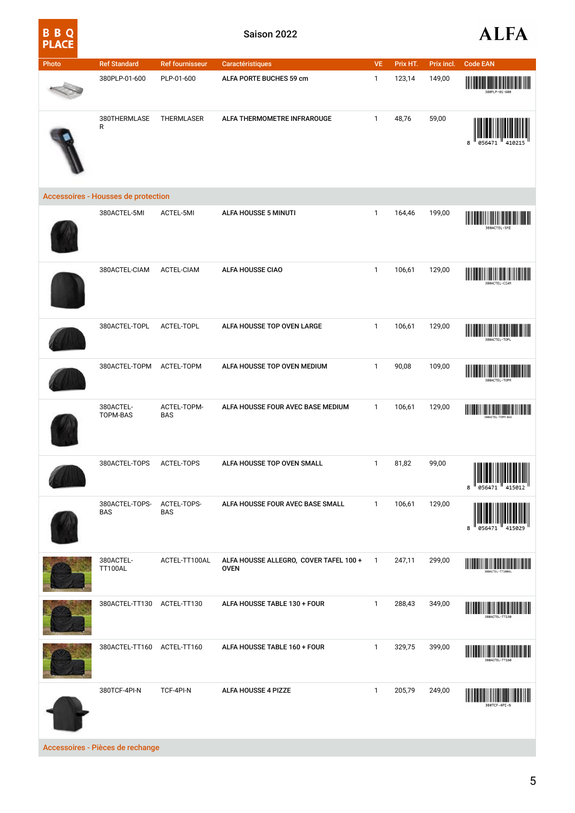| Photo | <b>Ref Standard</b>                        | <b>Ref fournisseur</b>    | Caractéristiques                                      | <b>VE</b>    | Prix HT. | Prix incl. | <b>Code EAN</b>                                                                                                                                                                                                                      |
|-------|--------------------------------------------|---------------------------|-------------------------------------------------------|--------------|----------|------------|--------------------------------------------------------------------------------------------------------------------------------------------------------------------------------------------------------------------------------------|
|       | 380PLP-01-600                              | PLP-01-600                | ALFA PORTE BUCHES 59 cm                               | $\mathbf{1}$ | 123,14   | 149,00     | ║                                                                                                                                                                                                                                    |
|       | 380THERMLASE<br>R                          | THERMLASER                | ALFA THERMOMETRE INFRAROUGE                           | $\mathbf{1}$ | 48,76    | 59,00      | 8                                                                                                                                                                                                                                    |
|       | <b>Accessoires - Housses de protection</b> |                           |                                                       |              |          |            |                                                                                                                                                                                                                                      |
|       | 380ACTEL-5MI                               | ACTEL-5MI                 | ALFA HOUSSE 5 MINUTI                                  | $\mathbf{1}$ | 164,46   | 199,00     |                                                                                                                                                                                                                                      |
|       | 380ACTEL-CIAM                              | ACTEL-CIAM                | ALFA HOUSSE CIAO                                      | $\mathbf{1}$ | 106,61   | 129,00     |                                                                                                                                                                                                                                      |
|       | 380ACTEL-TOPL                              | ACTEL-TOPL                | ALFA HOUSSE TOP OVEN LARGE                            | $\mathbf{1}$ | 106,61   | 129,00     | 380ACTEL-TOPI                                                                                                                                                                                                                        |
|       | 380ACTEL-TOPM                              | ACTEL-TOPM                | ALFA HOUSSE TOP OVEN MEDIUM                           | $\mathbf{1}$ | 90,08    | 109,00     | <u> I MANINI I I I II AN IN MINI I MANINI II I II</u><br>║<br>388ACTEL-T08                                                                                                                                                           |
|       | 380ACTEL-<br>TOPM-BAS                      | ACTEL-TOPM-<br><b>BAS</b> | ALFA HOUSSE FOUR AVEC BASE MEDIUM                     | $\mathbf{1}$ | 106,61   | 129,00     | <u> Harry Maria Maria Maria III a Britannia a Brasilia a Britannia a Brasilia a Brasilia a Brasilia a Brasilia a B</u>                                                                                                               |
|       | 380ACTEL-TOPS                              | ACTEL-TOPS                | ALFA HOUSSE TOP OVEN SMALL                            | $\mathbf{1}$ | 81,82    | 99,00      | 8                                                                                                                                                                                                                                    |
|       | 380ACTEL-TOPS-<br><b>BAS</b>               | ACTEL-TOPS-<br><b>BAS</b> | ALFA HOUSSE FOUR AVEC BASE SMALL                      | $\mathbf{1}$ | 106,61   | 129,00     | 8<br>056471                                                                                                                                                                                                                          |
|       | 380ACTEL-<br><b>TT100AL</b>                | ACTEL-TT100AL             | ALFA HOUSSE ALLEGRO, COVER TAFEL 100 +<br><b>OVEN</b> | $\mathbf{1}$ | 247,11   | 299,00     | <u> Harry Harry Harry Harry Harry Harry Harry Harry Harry Harry Harry Harry Harry Harry Harry Harry Harry Harry Harry Harry Harry Harry Harry Harry Harry Harry Harry Harry Harry Harry Harry Harry Harry Harry Harry Harry Harr</u> |
|       | 380ACTEL-TT130 ACTEL-TT130                 |                           | ALFA HOUSSE TABLE 130 + FOUR                          | $\mathbf{1}$ | 288,43   | 349,00     | ┉                                                                                                                                                                                                                                    |
|       | 380ACTEL-TT160 ACTEL-TT160                 |                           | ALFA HOUSSE TABLE 160 + FOUR                          | $\mathbf{1}$ | 329,75   | 399,00     |                                                                                                                                                                                                                                      |
|       | 380TCF-4PI-N                               | TCF-4PI-N                 | ALFA HOUSSE 4 PIZZE                                   | $\mathbf{1}$ | 205,79   | 249,00     | 380TCF-4PI-N                                                                                                                                                                                                                         |

Accessoires - Pièces de rechange

**B B Q<br>PLACE**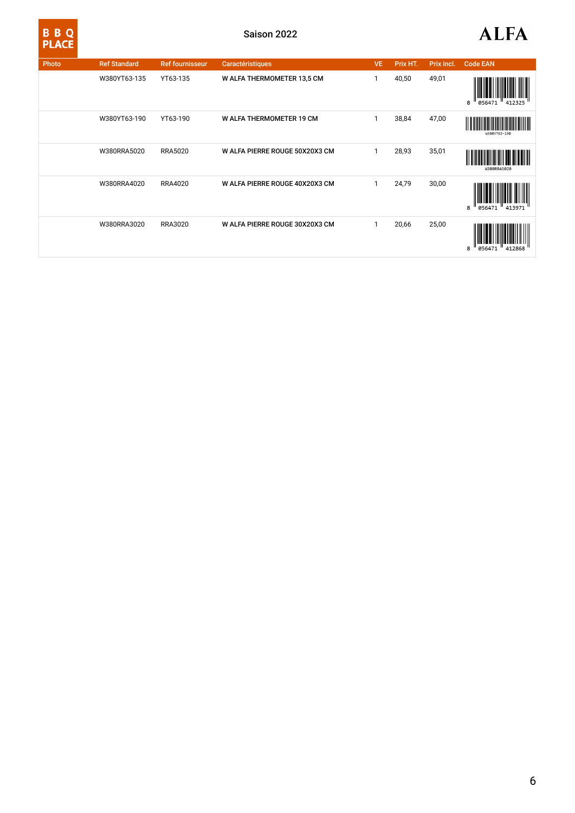| ۱, |  |
|----|--|

| Photo | <b>Ref Standard</b> | <b>Ref fournisseur</b> | Caractéristiques                | <b>VE</b> | Prix HT. | Prix incl. | <b>Code EAN</b>            |
|-------|---------------------|------------------------|---------------------------------|-----------|----------|------------|----------------------------|
|       | W380YT63-135        | YT63-135               | W ALFA THERMOMETER 13,5 CM      |           | 40,50    | 49,01      | 056471<br>8<br>412325      |
|       | W380YT63-190        | YT63-190               | <b>W ALFA THERMOMETER 19 CM</b> | 1         | 38,84    | 47,00      | W380YT63-190               |
|       | W380RRA5020         | <b>RRA5020</b>         | W ALFA PIERRE ROUGE 50X20X3 CM  | 1         | 28,93    | 35,01      | W380RRA5020                |
|       | W380RRA4020         | RRA4020                | W ALFA PIERRE ROUGE 40X20X3 CM  | 1         | 24,79    | 30,00      | ║<br>856471<br>413971<br>R |
|       | W380RRA3020         | RRA3020                | W ALFA PIERRE ROUGE 30X20X3 CM  | 1         | 20,66    | 25,00      | 112868<br>8<br>85647       |